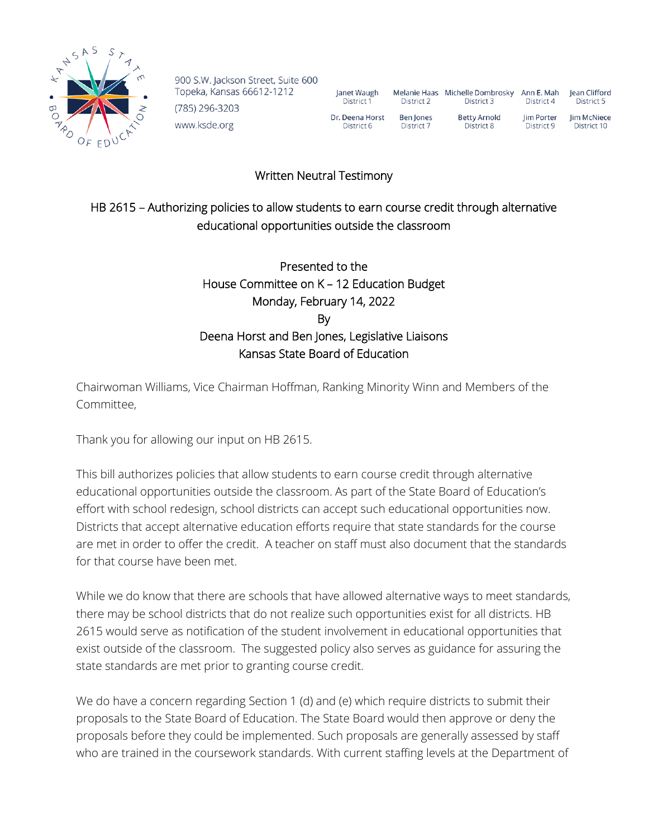

900 S.W. Jackson Street, Suite 600 Topeka, Kansas 66612-1212 (785) 296-3203 www.ksde.org

| Janet Waugh     | <b>Melanie Haas</b> | Michelle Dombrosky  | Ann E. Mah | lean Clifford |
|-----------------|---------------------|---------------------|------------|---------------|
| District 1      | District 2          | District 3          | District 4 | District 5    |
| Dr. Deena Horst | Ben Jones           | <b>Betty Arnold</b> | lim Porter | Jim McNiece   |
| District 6      | District 7          | District 8          | District 9 | District 10   |

Written Neutral Testimony

## HB 2615 – Authorizing policies to allow students to earn course credit through alternative educational opportunities outside the classroom

## Presented to the House Committee on K – 12 Education Budget Monday, February 14, 2022 By Deena Horst and Ben Jones, Legislative Liaisons Kansas State Board of Education

Chairwoman Williams, Vice Chairman Hoffman, Ranking Minority Winn and Members of the Committee,

Thank you for allowing our input on HB 2615.

This bill authorizes policies that allow students to earn course credit through alternative educational opportunities outside the classroom. As part of the State Board of Education's effort with school redesign, school districts can accept such educational opportunities now. Districts that accept alternative education efforts require that state standards for the course are met in order to offer the credit. A teacher on staff must also document that the standards for that course have been met.

While we do know that there are schools that have allowed alternative ways to meet standards, there may be school districts that do not realize such opportunities exist for all districts. HB 2615 would serve as notification of the student involvement in educational opportunities that exist outside of the classroom. The suggested policy also serves as guidance for assuring the state standards are met prior to granting course credit.

We do have a concern regarding Section 1 (d) and (e) which require districts to submit their proposals to the State Board of Education. The State Board would then approve or deny the proposals before they could be implemented. Such proposals are generally assessed by staff who are trained in the coursework standards. With current staffing levels at the Department of